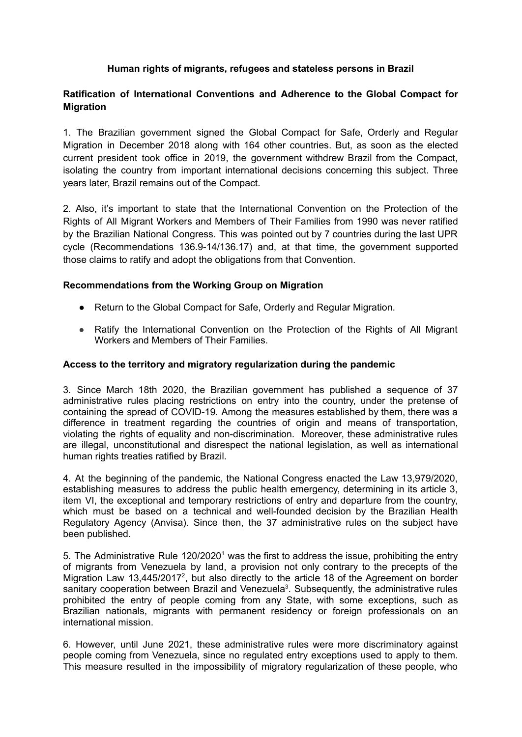# **Human rights of migrants, refugees and stateless persons in Brazil**

# **Ratification of International Conventions and Adherence to the Global Compact for Migration**

1. The Brazilian government signed the Global Compact for Safe, Orderly and Regular Migration in December 2018 along with 164 other countries. But, as soon as the elected current president took office in 2019, the government withdrew Brazil from the Compact, isolating the country from important international decisions concerning this subject. Three years later, Brazil remains out of the Compact.

2. Also, it's important to state that the International Convention on the Protection of the Rights of All Migrant Workers and Members of Their Families from 1990 was never ratified by the Brazilian National Congress. This was pointed out by 7 countries during the last UPR cycle (Recommendations 136.9-14/136.17) and, at that time, the government supported those claims to ratify and adopt the obligations from that Convention.

#### **Recommendations from the Working Group on Migration**

- **●** Return to the Global Compact for Safe, Orderly and Regular Migration.
- **●** Ratify the International Convention on the Protection of the Rights of All Migrant Workers and Members of Their Families.

#### **Access to the territory and migratory regularization during the pandemic**

3. Since March 18th 2020, the Brazilian government has published a sequence of 37 administrative rules placing restrictions on entry into the country, under the pretense of containing the spread of COVID-19. Among the measures established by them, there was a difference in treatment regarding the countries of origin and means of transportation, violating the rights of equality and non-discrimination. Moreover, these administrative rules are illegal, unconstitutional and disrespect the national legislation, as well as international human rights treaties ratified by Brazil.

4. At the beginning of the pandemic, the National Congress enacted the Law 13,979/2020, establishing measures to address the public health emergency, determining in its article 3, item VI, the exceptional and temporary restrictions of entry and departure from the country, which must be based on a technical and well-founded decision by the Brazilian Health Regulatory Agency (Anvisa). Since then, the 37 administrative rules on the subject have been published.

5. The Administrative Rule  $120/2020<sup>1</sup>$  was the first to address the issue, prohibiting the entry of migrants from Venezuela by land, a provision not only contrary to the precepts of the Migration Law 13,445/2017<sup>2</sup>, but also directly to the article 18 of the Agreement on border sanitary cooperation between Brazil and Venezuela<sup>3</sup>. Subsequently, the administrative rules prohibited the entry of people coming from any State, with some exceptions, such as Brazilian nationals, migrants with permanent residency or foreign professionals on an international mission.

6. However, until June 2021, these administrative rules were more discriminatory against people coming from Venezuela, since no regulated entry exceptions used to apply to them. This measure resulted in the impossibility of migratory regularization of these people, who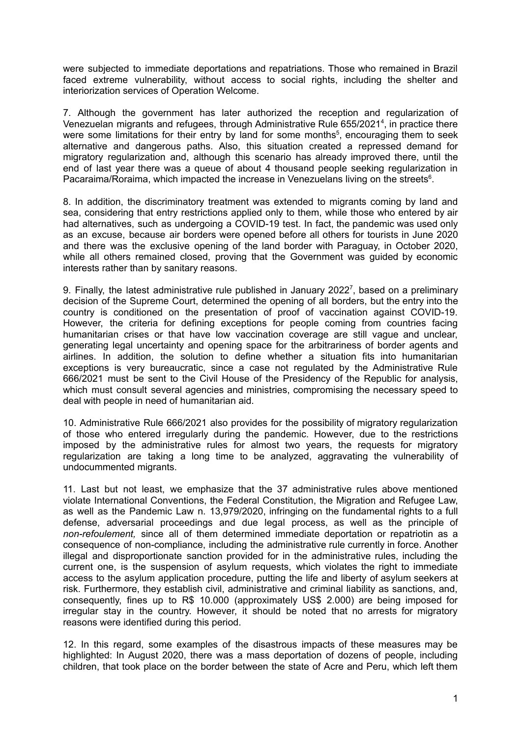were subjected to immediate deportations and repatriations. Those who remained in Brazil faced extreme vulnerability, without access to social rights, including the shelter and interiorization services of Operation Welcome.

7. Although the government has later authorized the reception and regularization of Venezuelan migrants and refugees, through Administrative Rule 655/2021 4 , in practice there were some limitations for their entry by land for some months<sup>5</sup>, encouraging them to seek alternative and dangerous paths. Also, this situation created a repressed demand for migratory regularization and, although this scenario has already improved there, until the end of last year there was a queue of about 4 thousand people seeking regularization in Pacaraima/Roraima, which impacted the increase in Venezuelans living on the streets<sup>6</sup>.

8. In addition, the discriminatory treatment was extended to migrants coming by land and sea, considering that entry restrictions applied only to them, while those who entered by air had alternatives, such as undergoing a COVID-19 test. In fact, the pandemic was used only as an excuse, because air borders were opened before all others for tourists in June 2020 and there was the exclusive opening of the land border with Paraguay, in October 2020, while all others remained closed, proving that the Government was guided by economic interests rather than by sanitary reasons.

9. Finally, the latest administrative rule published in January 2022<sup>7</sup>, based on a preliminary decision of the Supreme Court, determined the opening of all borders, but the entry into the country is conditioned on the presentation of proof of vaccination against COVID-19. However, the criteria for defining exceptions for people coming from countries facing humanitarian crises or that have low vaccination coverage are still vague and unclear, generating legal uncertainty and opening space for the arbitrariness of border agents and airlines. In addition, the solution to define whether a situation fits into humanitarian exceptions is very bureaucratic, since a case not regulated by the Administrative Rule 666/2021 must be sent to the Civil House of the Presidency of the Republic for analysis, which must consult several agencies and ministries, compromising the necessary speed to deal with people in need of humanitarian aid.

10. Administrative Rule 666/2021 also provides for the possibility of migratory regularization of those who entered irregularly during the pandemic. However, due to the restrictions imposed by the administrative rules for almost two years, the requests for migratory regularization are taking a long time to be analyzed, aggravating the vulnerability of undocummented migrants.

11. Last but not least, we emphasize that the 37 administrative rules above mentioned violate International Conventions, the Federal Constitution, the Migration and Refugee Law, as well as the Pandemic Law n. 13,979/2020, infringing on the fundamental rights to a full defense, adversarial proceedings and due legal process, as well as the principle of *non-refoulement,* since all of them determined immediate deportation or repatriotin as a consequence of non-compliance, including the administrative rule currently in force. Another illegal and disproportionate sanction provided for in the administrative rules, including the current one, is the suspension of asylum requests, which violates the right to immediate access to the asylum application procedure, putting the life and liberty of asylum seekers at risk. Furthermore, they establish civil, administrative and criminal liability as sanctions, and, consequently, fines up to R\$ 10.000 (approximately US\$ 2.000) are being imposed for irregular stay in the country. However, it should be noted that no arrests for migratory reasons were identified during this period.

12. In this regard, some examples of the disastrous impacts of these measures may be highlighted: In August 2020, there was a mass deportation of dozens of people, including children, that took place on the border between the state of Acre and Peru, which left them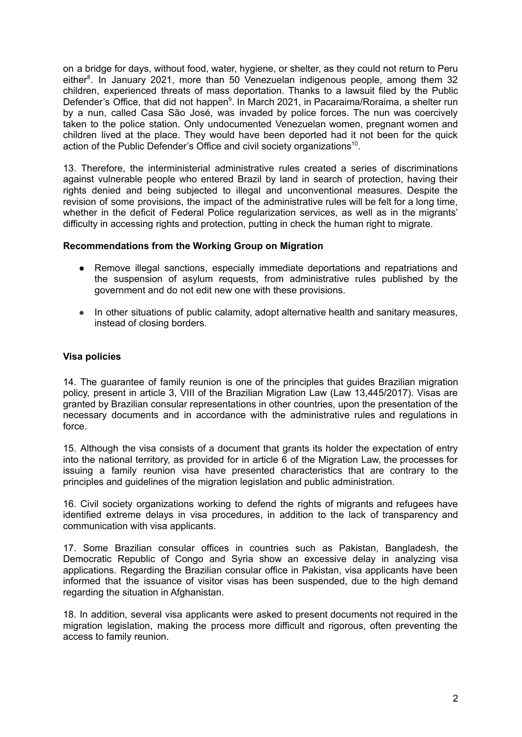on a bridge for days, without food, water, hygiene, or shelter, as they could not return to Peru either<sup>8</sup>. In January 2021, more than 50 Venezuelan indigenous people, among them 32 children, experienced threats of mass deportation. Thanks to a lawsuit filed by the Public Defender's Office, that did not happen<sup>9</sup>. In March 2021, in Pacaraima/Roraima, a shelter run by a nun, called Casa São José, was invaded by police forces. The nun was coercively taken to the police station. Only undocumented Venezuelan women, pregnant women and children lived at the place. They would have been deported had it not been for the quick action of the Public Defender's Office and civil society organizations<sup>10</sup>.

13. Therefore, the interministerial administrative rules created a series of discriminations against vulnerable people who entered Brazil by land in search of protection, having their rights denied and being subjected to illegal and unconventional measures. Despite the revision of some provisions, the impact of the administrative rules will be felt for a long time, whether in the deficit of Federal Police regularization services, as well as in the migrants' difficulty in accessing rights and protection, putting in check the human right to migrate.

## **Recommendations from the Working Group on Migration**

- **●** Remove illegal sanctions, especially immediate deportations and repatriations and the suspension of asylum requests, from administrative rules published by the government and do not edit new one with these provisions.
- **●** In other situations of public calamity, adopt alternative health and sanitary measures, instead of closing borders.

## **Visa policies**

14. The guarantee of family reunion is one of the principles that guides Brazilian migration policy, present in article 3, VIII of the Brazilian Migration Law (Law 13,445/2017). Visas are granted by Brazilian consular representations in other countries, upon the presentation of the necessary documents and in accordance with the administrative rules and regulations in force.

15. Although the visa consists of a document that grants its holder the expectation of entry into the national territory, as provided for in article 6 of the Migration Law, the processes for issuing a family reunion visa have presented characteristics that are contrary to the principles and guidelines of the migration legislation and public administration.

16. Civil society organizations working to defend the rights of migrants and refugees have identified extreme delays in visa procedures, in addition to the lack of transparency and communication with visa applicants.

17. Some Brazilian consular offices in countries such as Pakistan, Bangladesh, the Democratic Republic of Congo and Syria show an excessive delay in analyzing visa applications. Regarding the Brazilian consular office in Pakistan, visa applicants have been informed that the issuance of visitor visas has been suspended, due to the high demand regarding the situation in Afghanistan.

18. In addition, several visa applicants were asked to present documents not required in the migration legislation, making the process more difficult and rigorous, often preventing the access to family reunion.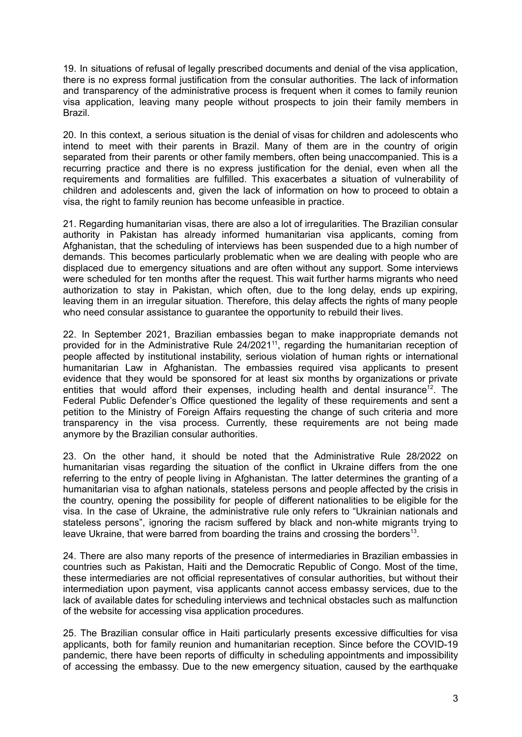19. In situations of refusal of legally prescribed documents and denial of the visa application, there is no express formal justification from the consular authorities. The lack of information and transparency of the administrative process is frequent when it comes to family reunion visa application, leaving many people without prospects to join their family members in Brazil.

20. In this context, a serious situation is the denial of visas for children and adolescents who intend to meet with their parents in Brazil. Many of them are in the country of origin separated from their parents or other family members, often being unaccompanied. This is a recurring practice and there is no express justification for the denial, even when all the requirements and formalities are fulfilled. This exacerbates a situation of vulnerability of children and adolescents and, given the lack of information on how to proceed to obtain a visa, the right to family reunion has become unfeasible in practice.

21. Regarding humanitarian visas, there are also a lot of irregularities. The Brazilian consular authority in Pakistan has already informed humanitarian visa applicants, coming from Afghanistan, that the scheduling of interviews has been suspended due to a high number of demands. This becomes particularly problematic when we are dealing with people who are displaced due to emergency situations and are often without any support. Some interviews were scheduled for ten months after the request. This wait further harms migrants who need authorization to stay in Pakistan, which often, due to the long delay, ends up expiring, leaving them in an irregular situation. Therefore, this delay affects the rights of many people who need consular assistance to guarantee the opportunity to rebuild their lives.

22. In September 2021, Brazilian embassies began to make inappropriate demands not provided for in the Administrative Rule 24/2021<sup>11</sup>, regarding the humanitarian reception of people affected by institutional instability, serious violation of human rights or international humanitarian Law in Afghanistan. The embassies required visa applicants to present evidence that they would be sponsored for at least six months by organizations or private entities that would afford their expenses, including health and dental insurance<sup>12</sup>. The Federal Public Defender's Office questioned the legality of these requirements and sent a petition to the Ministry of Foreign Affairs requesting the change of such criteria and more transparency in the visa process. Currently, these requirements are not being made anymore by the Brazilian consular authorities.

23. On the other hand, it should be noted that the Administrative Rule 28/2022 on humanitarian visas regarding the situation of the conflict in Ukraine differs from the one referring to the entry of people living in Afghanistan. The latter determines the granting of a humanitarian visa to afghan nationals, stateless persons and people affected by the crisis in the country, opening the possibility for people of different nationalities to be eligible for the visa. In the case of Ukraine, the administrative rule only refers to "Ukrainian nationals and stateless persons", ignoring the racism suffered by black and non-white migrants trying to leave Ukraine, that were barred from boarding the trains and crossing the borders<sup>13</sup>.

24. There are also many reports of the presence of intermediaries in Brazilian embassies in countries such as Pakistan, Haiti and the Democratic Republic of Congo. Most of the time, these intermediaries are not official representatives of consular authorities, but without their intermediation upon payment, visa applicants cannot access embassy services, due to the lack of available dates for scheduling interviews and technical obstacles such as malfunction of the website for accessing visa application procedures.

25. The Brazilian consular office in Haiti particularly presents excessive difficulties for visa applicants, both for family reunion and humanitarian reception. Since before the COVID-19 pandemic, there have been reports of difficulty in scheduling appointments and impossibility of accessing the embassy. Due to the new emergency situation, caused by the earthquake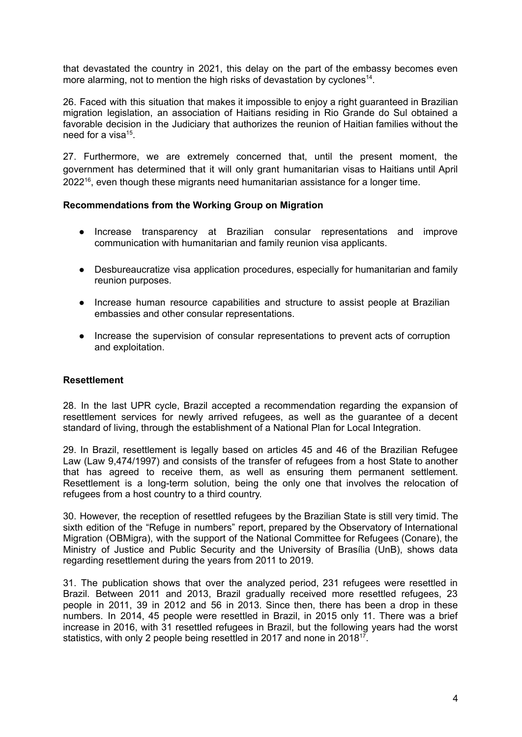that devastated the country in 2021, this delay on the part of the embassy becomes even more alarming, not to mention the high risks of devastation by cyclones<sup>14</sup>.

26. Faced with this situation that makes it impossible to enjoy a right guaranteed in Brazilian migration legislation, an association of Haitians residing in Rio Grande do Sul obtained a favorable decision in the Judiciary that authorizes the reunion of Haitian families without the need for a visa<sup>15</sup>.

27. Furthermore, we are extremely concerned that, until the present moment, the government has determined that it will only grant humanitarian visas to Haitians until April 2022<sup>16</sup>, even though these migrants need humanitarian assistance for a longer time.

## **Recommendations from the Working Group on Migration**

- Increase transparency at Brazilian consular representations and improve communication with humanitarian and family reunion visa applicants.
- Desbureaucratize visa application procedures, especially for humanitarian and family reunion purposes.
- Increase human resource capabilities and structure to assist people at Brazilian embassies and other consular representations.
- Increase the supervision of consular representations to prevent acts of corruption and exploitation.

#### **Resettlement**

28. In the last UPR cycle, Brazil accepted a recommendation regarding the expansion of resettlement services for newly arrived refugees, as well as the guarantee of a decent standard of living, through the establishment of a National Plan for Local Integration.

29. In Brazil, resettlement is legally based on articles 45 and 46 of the Brazilian Refugee Law (Law 9,474/1997) and consists of the transfer of refugees from a host State to another that has agreed to receive them, as well as ensuring them permanent settlement. Resettlement is a long-term solution, being the only one that involves the relocation of refugees from a host country to a third country.

30. However, the reception of resettled refugees by the Brazilian State is still very timid. The sixth edition of the "Refuge in numbers" report, prepared by the Observatory of International Migration (OBMigra), with the support of the National Committee for Refugees (Conare), the Ministry of Justice and Public Security and the University of Brasília (UnB), shows data regarding resettlement during the years from 2011 to 2019.

31. The publication shows that over the analyzed period, 231 refugees were resettled in Brazil. Between 2011 and 2013, Brazil gradually received more resettled refugees, 23 people in 2011, 39 in 2012 and 56 in 2013. Since then, there has been a drop in these numbers. In 2014, 45 people were resettled in Brazil, in 2015 only 11. There was a brief increase in 2016, with 31 resettled refugees in Brazil, but the following years had the worst statistics, with only 2 people being resettled in 2017 and none in 2018<sup>17</sup>.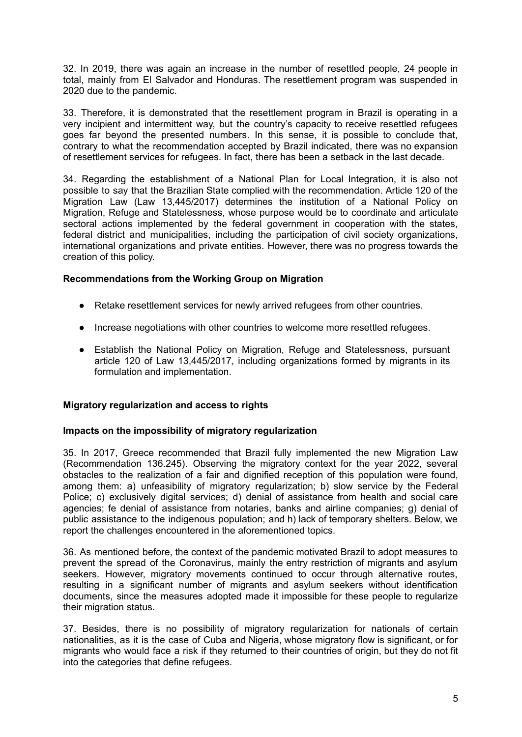32. In 2019, there was again an increase in the number of resettled people, 24 people in total, mainly from El Salvador and Honduras. The resettlement program was suspended in 2020 due to the pandemic.

33. Therefore, it is demonstrated that the resettlement program in Brazil is operating in a very incipient and intermittent way, but the country's capacity to receive resettled refugees goes far beyond the presented numbers. In this sense, it is possible to conclude that, contrary to what the recommendation accepted by Brazil indicated, there was no expansion of resettlement services for refugees. In fact, there has been a setback in the last decade.

34. Regarding the establishment of a National Plan for Local Integration, it is also not possible to say that the Brazilian State complied with the recommendation. Article 120 of the Migration Law (Law 13,445/2017) determines the institution of a National Policy on Migration, Refuge and Statelessness, whose purpose would be to coordinate and articulate sectoral actions implemented by the federal government in cooperation with the states, federal district and municipalities, including the participation of civil society organizations, international organizations and private entities. However, there was no progress towards the creation of this policy.

## **Recommendations from the Working Group on Migration**

- Retake resettlement services for newly arrived refugees from other countries.
- Increase negotiations with other countries to welcome more resettled refugees.
- Establish the National Policy on Migration, Refuge and Statelessness, pursuant article 120 of Law 13,445/2017, including organizations formed by migrants in its formulation and implementation.

## **Migratory regularization and access to rights**

## **Impacts on the impossibility of migratory regularization**

35. In 2017, Greece recommended that Brazil fully implemented the new Migration Law (Recommendation 136.245). Observing the migratory context for the year 2022, several obstacles to the realization of a fair and dignified reception of this population were found, among them: a) unfeasibility of migratory regularization; b) slow service by the Federal Police; c) exclusively digital services; d) denial of assistance from health and social care agencies; fe denial of assistance from notaries, banks and airline companies; g) denial of public assistance to the indigenous population; and h) lack of temporary shelters. Below, we report the challenges encountered in the aforementioned topics.

36. As mentioned before, the context of the pandemic motivated Brazil to adopt measures to prevent the spread of the Coronavirus, mainly the entry restriction of migrants and asylum seekers. However, migratory movements continued to occur through alternative routes, resulting in a significant number of migrants and asylum seekers without identification documents, since the measures adopted made it impossible for these people to regularize their migration status.

37. Besides, there is no possibility of migratory regularization for nationals of certain nationalities, as it is the case of Cuba and Nigeria, whose migratory flow is significant, or for migrants who would face a risk if they returned to their countries of origin, but they do not fit into the categories that define refugees.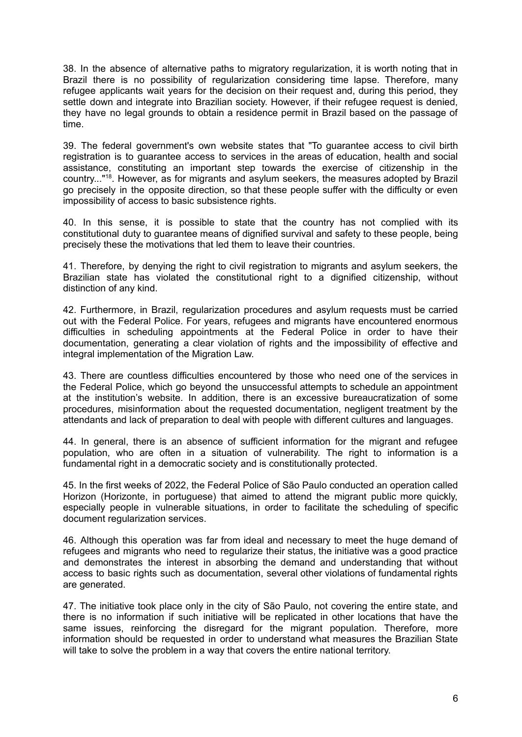38. In the absence of alternative paths to migratory regularization, it is worth noting that in Brazil there is no possibility of regularization considering time lapse. Therefore, many refugee applicants wait years for the decision on their request and, during this period, they settle down and integrate into Brazilian society. However, if their refugee request is denied, they have no legal grounds to obtain a residence permit in Brazil based on the passage of time.

39. The federal government's own website states that "To guarantee access to civil birth registration is to guarantee access to services in the areas of education, health and social assistance, constituting an important step towards the exercise of citizenship in the country..." 18 . However, as for migrants and asylum seekers, the measures adopted by Brazil go precisely in the opposite direction, so that these people suffer with the difficulty or even impossibility of access to basic subsistence rights.

40. In this sense, it is possible to state that the country has not complied with its constitutional duty to guarantee means of dignified survival and safety to these people, being precisely these the motivations that led them to leave their countries.

41. Therefore, by denying the right to civil registration to migrants and asylum seekers, the Brazilian state has violated the constitutional right to a dignified citizenship, without distinction of any kind.

42. Furthermore, in Brazil, regularization procedures and asylum requests must be carried out with the Federal Police. For years, refugees and migrants have encountered enormous difficulties in scheduling appointments at the Federal Police in order to have their documentation, generating a clear violation of rights and the impossibility of effective and integral implementation of the Migration Law.

43. There are countless difficulties encountered by those who need one of the services in the Federal Police, which go beyond the unsuccessful attempts to schedule an appointment at the institution's website. In addition, there is an excessive bureaucratization of some procedures, misinformation about the requested documentation, negligent treatment by the attendants and lack of preparation to deal with people with different cultures and languages.

44. In general, there is an absence of sufficient information for the migrant and refugee population, who are often in a situation of vulnerability. The right to information is a fundamental right in a democratic society and is constitutionally protected.

45. In the first weeks of 2022, the Federal Police of São Paulo conducted an operation called Horizon (Horizonte, in portuguese) that aimed to attend the migrant public more quickly, especially people in vulnerable situations, in order to facilitate the scheduling of specific document regularization services.

46. Although this operation was far from ideal and necessary to meet the huge demand of refugees and migrants who need to regularize their status, the initiative was a good practice and demonstrates the interest in absorbing the demand and understanding that without access to basic rights such as documentation, several other violations of fundamental rights are generated.

47. The initiative took place only in the city of São Paulo, not covering the entire state, and there is no information if such initiative will be replicated in other locations that have the same issues, reinforcing the disregard for the migrant population. Therefore, more information should be requested in order to understand what measures the Brazilian State will take to solve the problem in a way that covers the entire national territory.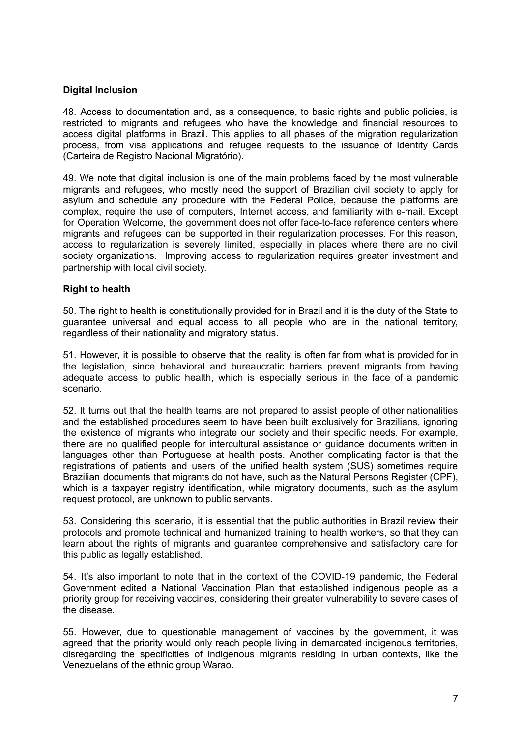## **Digital Inclusion**

48. Access to documentation and, as a consequence, to basic rights and public policies, is restricted to migrants and refugees who have the knowledge and financial resources to access digital platforms in Brazil. This applies to all phases of the migration regularization process, from visa applications and refugee requests to the issuance of Identity Cards (Carteira de Registro Nacional Migratório).

49. We note that digital inclusion is one of the main problems faced by the most vulnerable migrants and refugees, who mostly need the support of Brazilian civil society to apply for asylum and schedule any procedure with the Federal Police, because the platforms are complex, require the use of computers, Internet access, and familiarity with e-mail. Except for Operation Welcome, the government does not offer face-to-face reference centers where migrants and refugees can be supported in their regularization processes. For this reason, access to regularization is severely limited, especially in places where there are no civil society organizations. Improving access to regularization requires greater investment and partnership with local civil society.

## **Right to health**

50. The right to health is constitutionally provided for in Brazil and it is the duty of the State to guarantee universal and equal access to all people who are in the national territory, regardless of their nationality and migratory status.

51. However, it is possible to observe that the reality is often far from what is provided for in the legislation, since behavioral and bureaucratic barriers prevent migrants from having adequate access to public health, which is especially serious in the face of a pandemic scenario.

52. It turns out that the health teams are not prepared to assist people of other nationalities and the established procedures seem to have been built exclusively for Brazilians, ignoring the existence of migrants who integrate our society and their specific needs. For example, there are no qualified people for intercultural assistance or guidance documents written in languages other than Portuguese at health posts. Another complicating factor is that the registrations of patients and users of the unified health system (SUS) sometimes require Brazilian documents that migrants do not have, such as the Natural Persons Register (CPF), which is a taxpayer registry identification, while migratory documents, such as the asylum request protocol, are unknown to public servants.

53. Considering this scenario, it is essential that the public authorities in Brazil review their protocols and promote technical and humanized training to health workers, so that they can learn about the rights of migrants and guarantee comprehensive and satisfactory care for this public as legally established.

54. It's also important to note that in the context of the COVID-19 pandemic, the Federal Government edited a National Vaccination Plan that established indigenous people as a priority group for receiving vaccines, considering their greater vulnerability to severe cases of the disease.

55. However, due to questionable management of vaccines by the government, it was agreed that the priority would only reach people living in demarcated indigenous territories, disregarding the specificities of indigenous migrants residing in urban contexts, like the Venezuelans of the ethnic group Warao.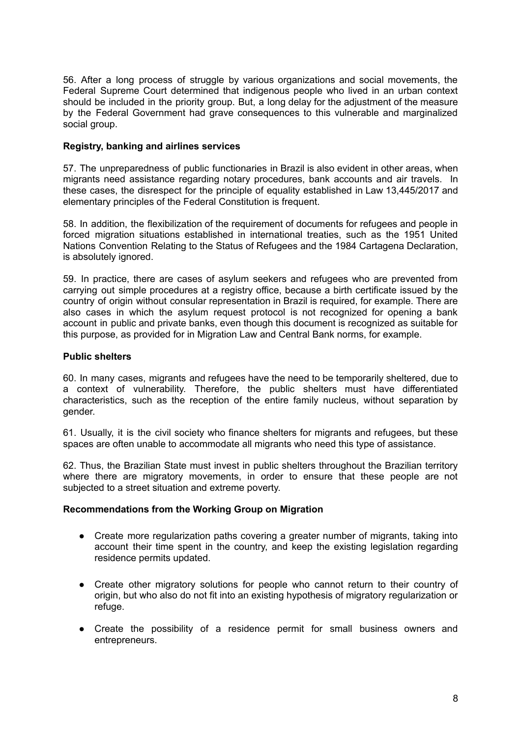56. After a long process of struggle by various organizations and social movements, the Federal Supreme Court determined that indigenous people who lived in an urban context should be included in the priority group. But, a long delay for the adjustment of the measure by the Federal Government had grave consequences to this vulnerable and marginalized social group.

## **Registry, banking and airlines services**

57. The unpreparedness of public functionaries in Brazil is also evident in other areas, when migrants need assistance regarding notary procedures, bank accounts and air travels. In these cases, the disrespect for the principle of equality established in Law 13,445/2017 and elementary principles of the Federal Constitution is frequent.

58. In addition, the flexibilization of the requirement of documents for refugees and people in forced migration situations established in international treaties, such as the 1951 United Nations Convention Relating to the Status of Refugees and the 1984 Cartagena Declaration, is absolutely ignored.

59. In practice, there are cases of asylum seekers and refugees who are prevented from carrying out simple procedures at a registry office, because a birth certificate issued by the country of origin without consular representation in Brazil is required, for example. There are also cases in which the asylum request protocol is not recognized for opening a bank account in public and private banks, even though this document is recognized as suitable for this purpose, as provided for in Migration Law and Central Bank norms, for example.

# **Public shelters**

60. In many cases, migrants and refugees have the need to be temporarily sheltered, due to a context of vulnerability. Therefore, the public shelters must have differentiated characteristics, such as the reception of the entire family nucleus, without separation by gender.

61. Usually, it is the civil society who finance shelters for migrants and refugees, but these spaces are often unable to accommodate all migrants who need this type of assistance.

62. Thus, the Brazilian State must invest in public shelters throughout the Brazilian territory where there are migratory movements, in order to ensure that these people are not subjected to a street situation and extreme poverty.

## **Recommendations from the Working Group on Migration**

- Create more regularization paths covering a greater number of migrants, taking into account their time spent in the country, and keep the existing legislation regarding residence permits updated.
- Create other migratory solutions for people who cannot return to their country of origin, but who also do not fit into an existing hypothesis of migratory regularization or refuge.
- Create the possibility of a residence permit for small business owners and entrepreneurs.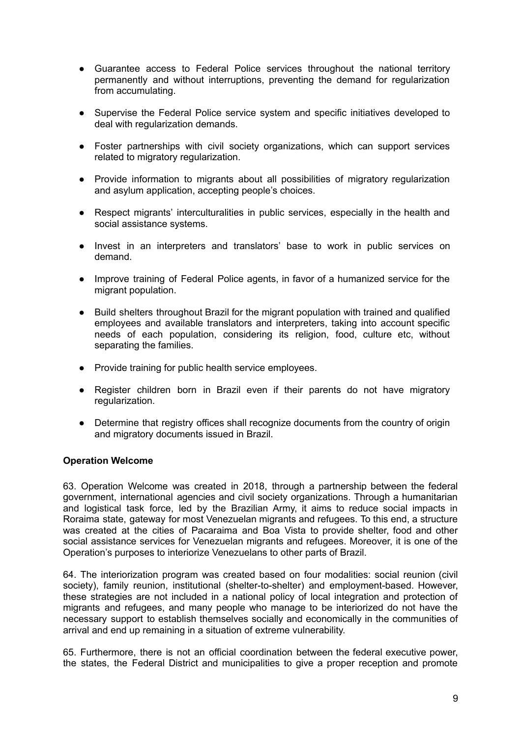- Guarantee access to Federal Police services throughout the national territory permanently and without interruptions, preventing the demand for regularization from accumulating.
- Supervise the Federal Police service system and specific initiatives developed to deal with regularization demands.
- Foster partnerships with civil society organizations, which can support services related to migratory regularization.
- Provide information to migrants about all possibilities of migratory regularization and asylum application, accepting people's choices.
- Respect migrants' interculturalities in public services, especially in the health and social assistance systems.
- Invest in an interpreters and translators' base to work in public services on demand.
- Improve training of Federal Police agents, in favor of a humanized service for the migrant population.
- Build shelters throughout Brazil for the migrant population with trained and qualified employees and available translators and interpreters, taking into account specific needs of each population, considering its religion, food, culture etc, without separating the families.
- Provide training for public health service employees.
- Register children born in Brazil even if their parents do not have migratory regularization.
- Determine that registry offices shall recognize documents from the country of origin and migratory documents issued in Brazil.

#### **Operation Welcome**

63. Operation Welcome was created in 2018, through a partnership between the federal government, international agencies and civil society organizations. Through a humanitarian and logistical task force, led by the Brazilian Army, it aims to reduce social impacts in Roraima state, gateway for most Venezuelan migrants and refugees. To this end, a structure was created at the cities of Pacaraima and Boa Vista to provide shelter, food and other social assistance services for Venezuelan migrants and refugees. Moreover, it is one of the Operation's purposes to interiorize Venezuelans to other parts of Brazil.

64. The interiorization program was created based on four modalities: social reunion (civil society), family reunion, institutional (shelter-to-shelter) and employment-based. However, these strategies are not included in a national policy of local integration and protection of migrants and refugees, and many people who manage to be interiorized do not have the necessary support to establish themselves socially and economically in the communities of arrival and end up remaining in a situation of extreme vulnerability.

65. Furthermore, there is not an official coordination between the federal executive power, the states, the Federal District and municipalities to give a proper reception and promote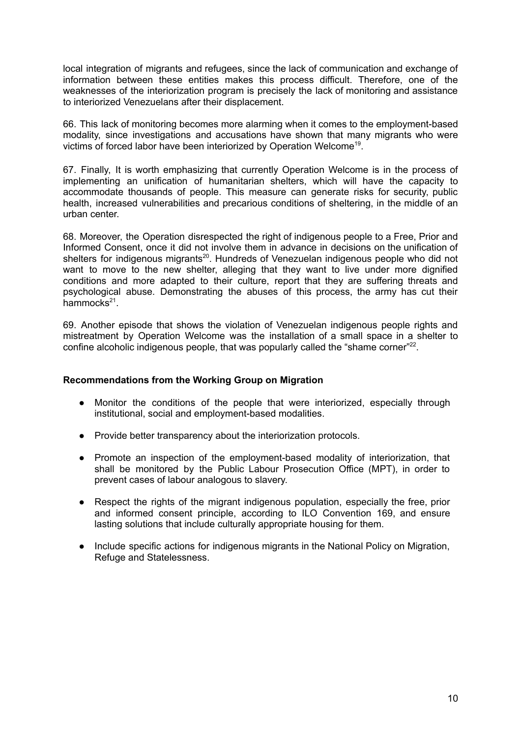local integration of migrants and refugees, since the lack of communication and exchange of information between these entities makes this process difficult. Therefore, one of the weaknesses of the interiorization program is precisely the lack of monitoring and assistance to interiorized Venezuelans after their displacement.

66. This lack of monitoring becomes more alarming when it comes to the employment-based modality, since investigations and accusations have shown that many migrants who were victims of forced labor have been interiorized by Operation Welcome<sup>19</sup>.

67. Finally, It is worth emphasizing that currently Operation Welcome is in the process of implementing an unification of humanitarian shelters, which will have the capacity to accommodate thousands of people. This measure can generate risks for security, public health, increased vulnerabilities and precarious conditions of sheltering, in the middle of an urban center.

68. Moreover, the Operation disrespected the right of indigenous people to a Free, Prior and Informed Consent, once it did not involve them in advance in decisions on the unification of shelters for indigenous migrants<sup>20</sup>. Hundreds of Venezuelan indigenous people who did not want to move to the new shelter, alleging that they want to live under more dignified conditions and more adapted to their culture, report that they are suffering threats and psychological abuse. Demonstrating the abuses of this process, the army has cut their hammocks<sup>21</sup>.

69. Another episode that shows the violation of Venezuelan indigenous people rights and mistreatment by Operation Welcome was the installation of a small space in a shelter to confine alcoholic indigenous people, that was popularly called the "shame corner"<sup>22</sup>.

## **Recommendations from the Working Group on Migration**

- Monitor the conditions of the people that were interiorized, especially through institutional, social and employment-based modalities.
- Provide better transparency about the interiorization protocols.
- Promote an inspection of the employment-based modality of interiorization, that shall be monitored by the Public Labour Prosecution Office (MPT), in order to prevent cases of labour analogous to slavery.
- Respect the rights of the migrant indigenous population, especially the free, prior and informed consent principle, according to ILO Convention 169, and ensure lasting solutions that include culturally appropriate housing for them.
- Include specific actions for indigenous migrants in the National Policy on Migration, Refuge and Statelessness.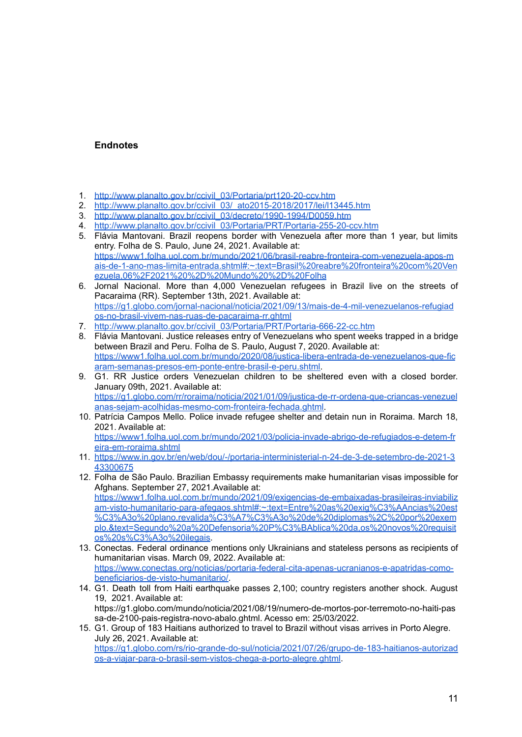# **Endnotes**

- 1. [http://www.planalto.gov.br/ccivil\\_03/Portaria/prt120-20-ccv.htm](http://www.planalto.gov.br/ccivil_03/Portaria/prt120-20-ccv.htm)
- 2. [http://www.planalto.gov.br/ccivil\\_03/\\_ato2015-2018/2017/lei/l13445.htm](http://www.planalto.gov.br/ccivil_03/_ato2015-2018/2017/lei/l13445.htm)
- 3. [http://www.planalto.gov.br/ccivil\\_03/decreto/1990-1994/D0059.htm](http://www.planalto.gov.br/ccivil_03/decreto/1990-1994/D0059.htm)
- 4. [http://www.planalto.gov.br/ccivil\\_03/Portaria/PRT/Portaria-255-20-ccv.htm](http://www.planalto.gov.br/ccivil_03/Portaria/PRT/Portaria-255-20-ccv.htm)
- 5. Flávia Mantovani. Brazil reopens border with Venezuela after more than 1 year, but limits entry. Folha de S. Paulo, June 24, 2021. Available at: [https://www1.folha.uol.com.br/mundo/2021/06/brasil-reabre-fronteira-com-venezuela-apos-m](https://www1.folha.uol.com.br/mundo/2021/06/brasil-reabre-fronteira-com-venezuela-apos-mais-de-1-ano-mas-limita-entrada.shtml#:~:text=Brasil%20reabre%20fronteira%20com%20Venezuela,06%2F2021%20%2D%20Mundo%20%2D%20Folha) [ais-de-1-ano-mas-limita-entrada.shtml#:~:text=Brasil%20reabre%20fronteira%20com%20Ven](https://www1.folha.uol.com.br/mundo/2021/06/brasil-reabre-fronteira-com-venezuela-apos-mais-de-1-ano-mas-limita-entrada.shtml#:~:text=Brasil%20reabre%20fronteira%20com%20Venezuela,06%2F2021%20%2D%20Mundo%20%2D%20Folha) [ezuela,06%2F2021%20%2D%20Mundo%20%2D%20Folha](https://www1.folha.uol.com.br/mundo/2021/06/brasil-reabre-fronteira-com-venezuela-apos-mais-de-1-ano-mas-limita-entrada.shtml#:~:text=Brasil%20reabre%20fronteira%20com%20Venezuela,06%2F2021%20%2D%20Mundo%20%2D%20Folha)
- 6. Jornal Nacional. More than 4,000 Venezuelan refugees in Brazil live on the streets of Pacaraima (RR). September 13th, 2021. Available at: [https://g1.globo.com/jornal-nacional/noticia/2021/09/13/mais-de-4-mil-venezuelanos-refugiad](https://g1.globo.com/jornal-nacional/noticia/2021/09/13/mais-de-4-mil-venezuelanos-refugiados-no-brasil-vivem-nas-ruas-de-pacaraima-rr.ghtml) [os-no-brasil-vivem-nas-ruas-de-pacaraima-rr.ghtml](https://g1.globo.com/jornal-nacional/noticia/2021/09/13/mais-de-4-mil-venezuelanos-refugiados-no-brasil-vivem-nas-ruas-de-pacaraima-rr.ghtml)
- 7. [http://www.planalto.gov.br/ccivil\\_03/Portaria/PRT/Portaria-666-22-cc.htm](http://www.planalto.gov.br/ccivil_03/Portaria/PRT/Portaria-666-22-cc.htm)
- 8. Flávia Mantovani. Justice releases entry of Venezuelans who spent weeks trapped in a bridge between Brazil and Peru. Folha de S. Paulo, August 7, 2020. Available at: [https://www1.folha.uol.com.br/mundo/2020/08/justica-libera-entrada-de-venezuelanos-que-fic](https://www1.folha.uol.com.br/mundo/2020/08/justica-libera-entrada-de-venezuelanos-que-ficaram-semanas-presos-em-ponte-entre-brasil-e-peru.shtml) [aram-semanas-presos-em-ponte-entre-brasil-e-peru.shtml.](https://www1.folha.uol.com.br/mundo/2020/08/justica-libera-entrada-de-venezuelanos-que-ficaram-semanas-presos-em-ponte-entre-brasil-e-peru.shtml)
- 9. G1. RR Justice orders Venezuelan children to be sheltered even with a closed border. January 09th, 2021. Available at: [https://g1.globo.com/rr/roraima/noticia/2021/01/09/justica-de-rr-ordena-que-criancas-venezuel](https://g1.globo.com/rr/roraima/noticia/2021/01/09/justica-de-rr-ordena-que-criancas-venezuelanas-sejam-acolhidas-mesmo-com-fronteira-fechada.ghtml) [anas-sejam-acolhidas-mesmo-com-fronteira-fechada.ghtml.](https://g1.globo.com/rr/roraima/noticia/2021/01/09/justica-de-rr-ordena-que-criancas-venezuelanas-sejam-acolhidas-mesmo-com-fronteira-fechada.ghtml)
- 10. Patrícia Campos Mello. Police invade refugee shelter and detain nun in Roraima. March 18, 2021. Available at: [https://www1.folha.uol.com.br/mundo/2021/03/policia-invade-abrigo-de-refugiados-e-detem-fr](https://www1.folha.uol.com.br/mundo/2021/03/policia-invade-abrigo-de-refugiados-e-detem-freira-em-roraima.shtml) [eira-em-roraima.shtml](https://www1.folha.uol.com.br/mundo/2021/03/policia-invade-abrigo-de-refugiados-e-detem-freira-em-roraima.shtml)
- 11. [https://www.in.gov.br/en/web/dou/-/portaria-interministerial-n-24-de-3-de-setembro-de-2021-3](https://www.in.gov.br/en/web/dou/-/portaria-interministerial-n-24-de-3-de-setembro-de-2021-343300675) [43300675](https://www.in.gov.br/en/web/dou/-/portaria-interministerial-n-24-de-3-de-setembro-de-2021-343300675)
- 12. Folha de São Paulo. Brazilian Embassy requirements make humanitarian visas impossible for Afghans. September 27, 2021.Available at: [https://www1.folha.uol.com.br/mundo/2021/09/exigencias-de-embaixadas-brasileiras-inviabiliz](https://www1.folha.uol.com.br/mundo/2021/09/exigencias-de-embaixadas-brasileiras-inviabilizam-visto-humanitario-para-afegaos.shtml#:~:text=Entre%20as%20exig%C3%AAncias%20est%C3%A3o%20plano,revalida%C3%A7%C3%A3o%20de%20diplomas%2C%20por%20exemplo.&text=Segundo%20a%20Defensoria%20P%C3%BAblica%20da,os%20novos%20requisitos%20s%C3%A3o%20ilegais) [am-visto-humanitario-para-afegaos.shtml#:~:text=Entre%20as%20exig%C3%AAncias%20est](https://www1.folha.uol.com.br/mundo/2021/09/exigencias-de-embaixadas-brasileiras-inviabilizam-visto-humanitario-para-afegaos.shtml#:~:text=Entre%20as%20exig%C3%AAncias%20est%C3%A3o%20plano,revalida%C3%A7%C3%A3o%20de%20diplomas%2C%20por%20exemplo.&text=Segundo%20a%20Defensoria%20P%C3%BAblica%20da,os%20novos%20requisitos%20s%C3%A3o%20ilegais) [%C3%A3o%20plano,revalida%C3%A7%C3%A3o%20de%20diplomas%2C%20por%20exem](https://www1.folha.uol.com.br/mundo/2021/09/exigencias-de-embaixadas-brasileiras-inviabilizam-visto-humanitario-para-afegaos.shtml#:~:text=Entre%20as%20exig%C3%AAncias%20est%C3%A3o%20plano,revalida%C3%A7%C3%A3o%20de%20diplomas%2C%20por%20exemplo.&text=Segundo%20a%20Defensoria%20P%C3%BAblica%20da,os%20novos%20requisitos%20s%C3%A3o%20ilegais) [plo.&text=Segundo%20a%20Defensoria%20P%C3%BAblica%20da,os%20novos%20requisit](https://www1.folha.uol.com.br/mundo/2021/09/exigencias-de-embaixadas-brasileiras-inviabilizam-visto-humanitario-para-afegaos.shtml#:~:text=Entre%20as%20exig%C3%AAncias%20est%C3%A3o%20plano,revalida%C3%A7%C3%A3o%20de%20diplomas%2C%20por%20exemplo.&text=Segundo%20a%20Defensoria%20P%C3%BAblica%20da,os%20novos%20requisitos%20s%C3%A3o%20ilegais) [os%20s%C3%A3o%20ilegais](https://www1.folha.uol.com.br/mundo/2021/09/exigencias-de-embaixadas-brasileiras-inviabilizam-visto-humanitario-para-afegaos.shtml#:~:text=Entre%20as%20exig%C3%AAncias%20est%C3%A3o%20plano,revalida%C3%A7%C3%A3o%20de%20diplomas%2C%20por%20exemplo.&text=Segundo%20a%20Defensoria%20P%C3%BAblica%20da,os%20novos%20requisitos%20s%C3%A3o%20ilegais).
- 13. Conectas. Federal ordinance mentions only Ukrainians and stateless persons as recipients of humanitarian visas. March 09, 2022. Available at: [https://www.conectas.org/noticias/portaria-federal-cita-apenas-ucranianos-e-apatridas-como](https://www.conectas.org/noticias/portaria-federal-cita-apenas-ucranianos-e-apatridas-como-beneficiarios-de-visto-humanitario/)[beneficiarios-de-visto-humanitario/.](https://www.conectas.org/noticias/portaria-federal-cita-apenas-ucranianos-e-apatridas-como-beneficiarios-de-visto-humanitario/)
- 14. G1. Death toll from Haiti earthquake passes 2,100; country registers another shock. August 19, 2021. Available at: https://g1.globo.com/mundo/noticia/2021/08/19/numero-de-mortos-por-terremoto-no-haiti-pas sa-de-2100-pais-registra-novo-abalo.ghtml. Acesso em: 25/03/2022.
- 15. G1. Group of 183 Haitians authorized to travel to Brazil without visas arrives in Porto Alegre. July 26, 2021. Available at: [https://g1.globo.com/rs/rio-grande-do-sul/noticia/2021/07/26/grupo-de-183-haitianos-autorizad](https://g1.globo.com/rs/rio-grande-do-sul/noticia/2021/07/26/grupo-de-183-haitianos-autorizados-a-viajar-para-o-brasil-sem-vistos-chega-a-porto-alegre.ghtml) [os-a-viajar-para-o-brasil-sem-vistos-chega-a-porto-alegre.ghtml](https://g1.globo.com/rs/rio-grande-do-sul/noticia/2021/07/26/grupo-de-183-haitianos-autorizados-a-viajar-para-o-brasil-sem-vistos-chega-a-porto-alegre.ghtml).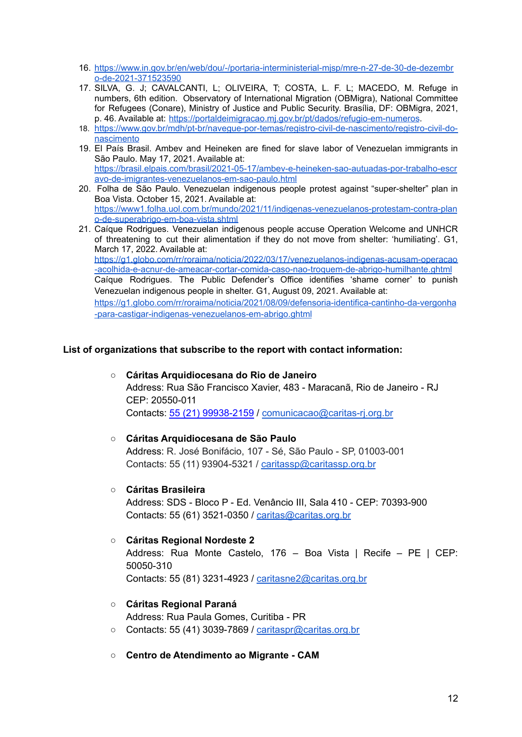- 16. [https://www.in.gov.br/en/web/dou/-/portaria-interministerial-mjsp/mre-n-27-de-30-de-dezembr](https://www.in.gov.br/en/web/dou/-/portaria-interministerial-mjsp/mre-n-27-de-30-de-dezembro-de-2021-371523590) [o-de-2021-371523590](https://www.in.gov.br/en/web/dou/-/portaria-interministerial-mjsp/mre-n-27-de-30-de-dezembro-de-2021-371523590)
- 17. SILVA, G. J; CAVALCANTI, L; OLIVEIRA, T; COSTA, L. F. L; MACEDO, M. Refuge in numbers, 6th edition. Observatory of International Migration (OBMigra), National Committee for Refugees (Conare), Ministry of Justice and Public Security. Brasília, DF: OBMigra, 2021, p. 46. Available at: <https://portaldeimigracao.mj.gov.br/pt/dados/refugio-em-numeros>.
- 18. [https://www.gov.br/mdh/pt-br/navegue-por-temas/registro-civil-de-nascimento/registro-civil-do](https://www.gov.br/mdh/pt-br/navegue-por-temas/registro-civil-de-nascimento/registro-civil-do-nascimento)[nascimento](https://www.gov.br/mdh/pt-br/navegue-por-temas/registro-civil-de-nascimento/registro-civil-do-nascimento)
- 19. El País Brasil. Ambev and Heineken are fined for slave labor of Venezuelan immigrants in São Paulo. May 17, 2021. Available at: [https://brasil.elpais.com/brasil/2021-05-17/ambev-e-heineken-sao-autuadas-por-trabalho-escr](https://brasil.elpais.com/brasil/2021-05-17/ambev-e-heineken-sao-autuadas-por-trabalho-escravo-de-imigrantes-venezuelanos-em-sao-paulo.html) [avo-de-imigrantes-venezuelanos-em-sao-paulo.html](https://brasil.elpais.com/brasil/2021-05-17/ambev-e-heineken-sao-autuadas-por-trabalho-escravo-de-imigrantes-venezuelanos-em-sao-paulo.html)
- 20. Folha de São Paulo. Venezuelan indigenous people protest against "super-shelter" plan in Boa Vista. October 15, 2021. Available at: [https://www1.folha.uol.com.br/mundo/2021/11/indigenas-venezuelanos-protestam-contra-plan](https://www1.folha.uol.com.br/mundo/2021/11/indigenas-venezuelanos-protestam-contra-plano-de-superabrigo-em-boa-vista.shtml) [o-de-superabrigo-em-boa-vista.shtml](https://www1.folha.uol.com.br/mundo/2021/11/indigenas-venezuelanos-protestam-contra-plano-de-superabrigo-em-boa-vista.shtml)
- 21. Caíque Rodrigues. Venezuelan indigenous people accuse Operation Welcome and UNHCR of threatening to cut their alimentation if they do not move from shelter: 'humiliating'. G1, March 17, 2022. Available at: [https://g1.globo.com/rr/roraima/noticia/2022/03/17/venezuelanos-indigenas-acusam-operacao](https://g1.globo.com/rr/roraima/noticia/2022/03/17/venezuelanos-indigenas-acusam-operacao-acolhida-e-acnur-de-ameacar-cortar-comida-caso-nao-troquem-de-abrigo-humilhante.ghtml) [-acolhida-e-acnur-de-ameacar-cortar-comida-caso-nao-troquem-de-abrigo-humilhante.ghtml](https://g1.globo.com/rr/roraima/noticia/2022/03/17/venezuelanos-indigenas-acusam-operacao-acolhida-e-acnur-de-ameacar-cortar-comida-caso-nao-troquem-de-abrigo-humilhante.ghtml) Caíque Rodrigues. The Public Defender's Office identifies 'shame corner' to punish Venezuelan indigenous people in shelter. G1, August 09, 2021. Available at:

[https://g1.globo.com/rr/roraima/noticia/2021/08/09/defensoria-identifica-cantinho-da-vergonha](https://g1.globo.com/rr/roraima/noticia/2021/08/09/defensoria-identifica-cantinho-da-vergonha-para-castigar-indigenas-venezuelanos-em-abrigo.ghtml) [-para-castigar-indigenas-venezuelanos-em-abrigo.ghtml](https://g1.globo.com/rr/roraima/noticia/2021/08/09/defensoria-identifica-cantinho-da-vergonha-para-castigar-indigenas-venezuelanos-em-abrigo.ghtml)

## **List of organizations that subscribe to the report with contact information:**

**○ Cáritas Arquidiocesana do Rio de Janeiro** Address: Rua São Francisco Xavier, 483 - Maracanã, Rio de Janeiro - RJ CEP: 20550-011 Contacts: 55 (21) [99938-2159](https://api.whatsapp.com/send?phone=5521999382159) / [comunicacao@caritas-rj.org.br](mailto:comunicacao@caritas-rj.org.br)

## **○ Cáritas Arquidiocesana de São Paulo**

Address: R. José Bonifácio, 107 - Sé, São Paulo - SP, 01003-001 Contacts: 55 (11) 93904-5321 / [caritassp@caritassp.org.br](mailto:caritassp@caritassp.org.br)

**○ Cáritas Brasileira**

Address: SDS - Bloco P - Ed. Venâncio III, Sala 410 - CEP: 70393-900 Contacts: 55 (61) 3521-0350 / [caritas@caritas.org.br](mailto:caritas@caritas.org.br)

## **○ Cáritas Regional Nordeste 2**

Address: Rua Monte Castelo, 176 – Boa Vista | Recife – PE | CEP: 50050-310

Contacts: 55 (81) 3231-4923 / [caritasne2@caritas.org.br](mailto:caritasne2@caritas.org.br)

**○ Cáritas Regional Paraná**

Address: Rua Paula Gomes, Curitiba - PR

- Contacts: 55 (41) 3039-7869 / [caritaspr@caritas.org.br](mailto:caritaspr@caritas.org.br)
- **○ Centro de Atendimento ao Migrante - CAM**